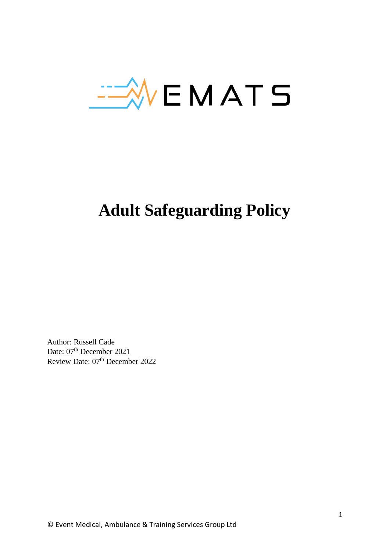

# **Adult Safeguarding Policy**

Author: Russell Cade Date: 07<sup>th</sup> December 2021 Review Date: 07<sup>th</sup> December 2022

© Event Medical, Ambulance & Training Services Group Ltd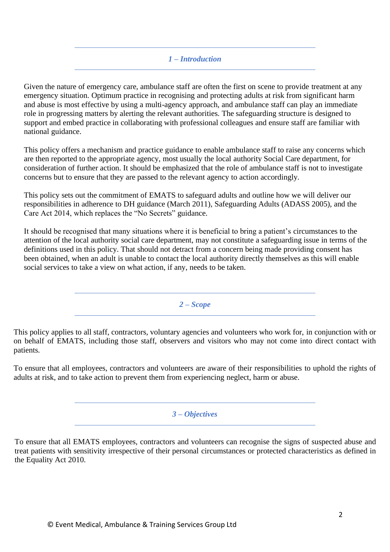# *1 – Introduction*

Given the nature of emergency care, ambulance staff are often the first on scene to provide treatment at any emergency situation. Optimum practice in recognising and protecting adults at risk from significant harm and abuse is most effective by using a multi-agency approach, and ambulance staff can play an immediate role in progressing matters by alerting the relevant authorities. The safeguarding structure is designed to support and embed practice in collaborating with professional colleagues and ensure staff are familiar with national guidance.

This policy offers a mechanism and practice guidance to enable ambulance staff to raise any concerns which are then reported to the appropriate agency, most usually the local authority Social Care department, for consideration of further action. It should be emphasized that the role of ambulance staff is not to investigate concerns but to ensure that they are passed to the relevant agency to action accordingly.

This policy sets out the commitment of EMATS to safeguard adults and outline how we will deliver our responsibilities in adherence to DH guidance (March 2011), Safeguarding Adults (ADASS 2005), and the Care Act 2014, which replaces the "No Secrets" guidance.

It should be recognised that many situations where it is beneficial to bring a patient's circumstances to the attention of the local authority social care department, may not constitute a safeguarding issue in terms of the definitions used in this policy. That should not detract from a concern being made providing consent has been obtained, when an adult is unable to contact the local authority directly themselves as this will enable social services to take a view on what action, if any, needs to be taken.

*2 – Scope*

This policy applies to all staff, contractors, voluntary agencies and volunteers who work for, in conjunction with or on behalf of EMATS, including those staff, observers and visitors who may not come into direct contact with patients.

To ensure that all employees, contractors and volunteers are aware of their responsibilities to uphold the rights of adults at risk, and to take action to prevent them from experiencing neglect, harm or abuse.

#### *3 – Objectives*

To ensure that all EMATS employees, contractors and volunteers can recognise the signs of suspected abuse and treat patients with sensitivity irrespective of their personal circumstances or protected characteristics as defined in the Equality Act 2010.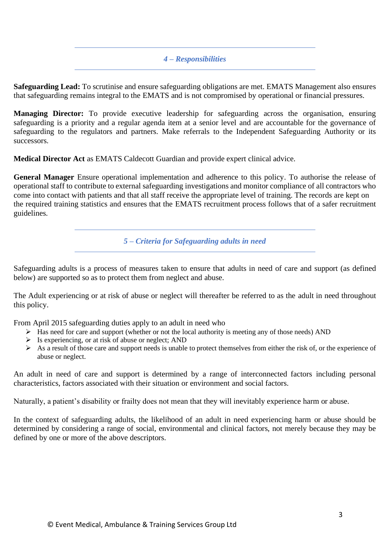#### *4 – Responsibilities*

**Safeguarding Lead:** To scrutinise and ensure safeguarding obligations are met. EMATS Management also ensures that safeguarding remains integral to the EMATS and is not compromised by operational or financial pressures.

**Managing Director:** To provide executive leadership for safeguarding across the organisation, ensuring safeguarding is a priority and a regular agenda item at a senior level and are accountable for the governance of safeguarding to the regulators and partners. Make referrals to the Independent Safeguarding Authority or its successors.

**Medical Director Act** as EMATS Caldecott Guardian and provide expert clinical advice.

**General Manager** Ensure operational implementation and adherence to this policy. To authorise the release of operational staff to contribute to external safeguarding investigations and monitor compliance of all contractors who come into contact with patients and that all staff receive the appropriate level of training. The records are kept on the required training statistics and ensures that the EMATS recruitment process follows that of a safer recruitment guidelines.

*5 – Criteria for Safeguarding adults in need*

Safeguarding adults is a process of measures taken to ensure that adults in need of care and support (as defined below) are supported so as to protect them from neglect and abuse.

The Adult experiencing or at risk of abuse or neglect will thereafter be referred to as the adult in need throughout this policy.

From April 2015 safeguarding duties apply to an adult in need who

- $\triangleright$  Has need for care and support (whether or not the local authority is meeting any of those needs) AND
- $\triangleright$  Is experiencing, or at risk of abuse or neglect; AND
- $\triangleright$  As a result of those care and support needs is unable to protect themselves from either the risk of, or the experience of abuse or neglect.

An adult in need of care and support is determined by a range of interconnected factors including personal characteristics, factors associated with their situation or environment and social factors.

Naturally, a patient's disability or frailty does not mean that they will inevitably experience harm or abuse.

In the context of safeguarding adults, the likelihood of an adult in need experiencing harm or abuse should be determined by considering a range of social, environmental and clinical factors, not merely because they may be defined by one or more of the above descriptors.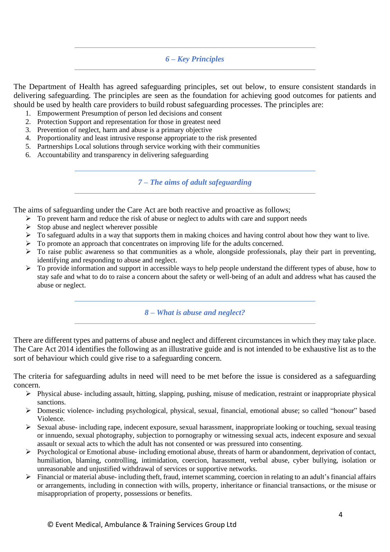# *6 – Key Principles*

The Department of Health has agreed safeguarding principles, set out below, to ensure consistent standards in delivering safeguarding. The principles are seen as the foundation for achieving good outcomes for patients and should be used by health care providers to build robust safeguarding processes. The principles are:

- 1. Empowerment Presumption of person led decisions and consent
- 2. Protection Support and representation for those in greatest need
- 3. Prevention of neglect, harm and abuse is a primary objective
- 4. Proportionality and least intrusive response appropriate to the risk presented
- 5. Partnerships Local solutions through service working with their communities
- 6. Accountability and transparency in delivering safeguarding

*7 – The aims of adult safeguarding*

The aims of safeguarding under the Care Act are both reactive and proactive as follows;

- ➢ To prevent harm and reduce the risk of abuse or neglect to adults with care and support needs
- $\triangleright$  Stop abuse and neglect wherever possible
- $\triangleright$  To safeguard adults in a way that supports them in making choices and having control about how they want to live.
- ➢ To promote an approach that concentrates on improving life for the adults concerned.
- ➢ To raise public awareness so that communities as a whole, alongside professionals, play their part in preventing, identifying and responding to abuse and neglect.
- ➢ To provide information and support in accessible ways to help people understand the different types of abuse, how to stay safe and what to do to raise a concern about the safety or well-being of an adult and address what has caused the abuse or neglect.

*8 – What is abuse and neglect?*

There are different types and patterns of abuse and neglect and different circumstances in which they may take place. The Care Act 2014 identifies the following as an illustrative guide and is not intended to be exhaustive list as to the sort of behaviour which could give rise to a safeguarding concern.

The criteria for safeguarding adults in need will need to be met before the issue is considered as a safeguarding concern.

- $\triangleright$  Physical abuse- including assault, hitting, slapping, pushing, misuse of medication, restraint or inappropriate physical sanctions.
- ➢ Domestic violence- including psychological, physical, sexual, financial, emotional abuse; so called "honour" based Violence.
- $\triangleright$  Sexual abuse- including rape, indecent exposure, sexual harassment, inappropriate looking or touching, sexual teasing or innuendo, sexual photography, subjection to pornography or witnessing sexual acts, indecent exposure and sexual assault or sexual acts to which the adult has not consented or was pressured into consenting.
- ➢ Psychological or Emotional abuse- including emotional abuse, threats of harm or abandonment, deprivation of contact, humiliation, blaming, controlling, intimidation, coercion, harassment, verbal abuse, cyber bullying, isolation or unreasonable and unjustified withdrawal of services or supportive networks.
- ➢ Financial or material abuse- including theft, fraud, internet scamming, coercion in relating to an adult's financial affairs or arrangements, including in connection with wills, property, inheritance or financial transactions, or the misuse or misappropriation of property, possessions or benefits.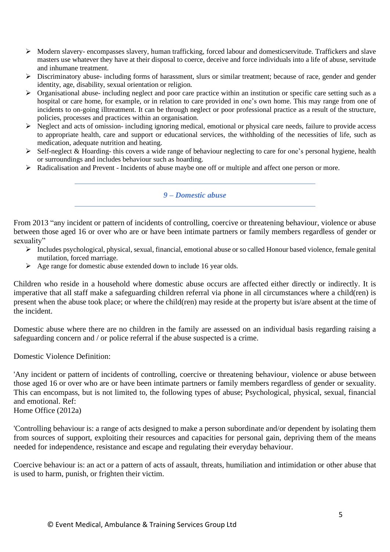- ➢ Modern slavery- encompasses slavery, human trafficking, forced labour and domesticservitude. Traffickers and slave masters use whatever they have at their disposal to coerce, deceive and force individuals into a life of abuse, servitude and inhumane treatment.
- ➢ Discriminatory abuse- including forms of harassment, slurs or similar treatment; because of race, gender and gender identity, age, disability, sexual orientation or religion.
- ➢ Organisational abuse- including neglect and poor care practice within an institution or specific care setting such as a hospital or care home, for example, or in relation to care provided in one's own home. This may range from one of incidents to on-going illtreatment. It can be through neglect or poor professional practice as a result of the structure, policies, processes and practices within an organisation.
- ➢ Neglect and acts of omission- including ignoring medical, emotional or physical care needs, failure to provide access to appropriate health, care and support or educational services, the withholding of the necessities of life, such as medication, adequate nutrition and heating.
- ➢ Self-neglect & Hoarding- this covers a wide range of behaviour neglecting to care for one's personal hygiene, health or surroundings and includes behaviour such as hoarding.
- ➢ Radicalisation and Prevent Incidents of abuse maybe one off or multiple and affect one person or more.

*9 – Domestic abuse*

From 2013 "any incident or pattern of incidents of controlling, coercive or threatening behaviour, violence or abuse between those aged 16 or over who are or have been intimate partners or family members regardless of gender or sexuality"

- $\triangleright$  Includes psychological, physical, sexual, financial, emotional abuse or so called Honour based violence, female genital mutilation, forced marriage.
- $\triangleright$  Age range for domestic abuse extended down to include 16 year olds.

Children who reside in a household where domestic abuse occurs are affected either directly or indirectly. It is imperative that all staff make a safeguarding children referral via phone in all circumstances where a child(ren) is present when the abuse took place; or where the child(ren) may reside at the property but is/are absent at the time of the incident.

Domestic abuse where there are no children in the family are assessed on an individual basis regarding raising a safeguarding concern and / or police referral if the abuse suspected is a crime.

Domestic Violence Definition:

'Any incident or pattern of incidents of controlling, coercive or threatening behaviour, violence or abuse between those aged 16 or over who are or have been intimate partners or family members regardless of gender or sexuality. This can encompass, but is not limited to, the following types of abuse; Psychological, physical, sexual, financial and emotional. Ref:

Home Office (2012a)

'Controlling behaviour is: a range of acts designed to make a person subordinate and/or dependent by isolating them from sources of support, exploiting their resources and capacities for personal gain, depriving them of the means needed for independence, resistance and escape and regulating their everyday behaviour.

Coercive behaviour is: an act or a pattern of acts of assault, threats, humiliation and intimidation or other abuse that is used to harm, punish, or frighten their victim.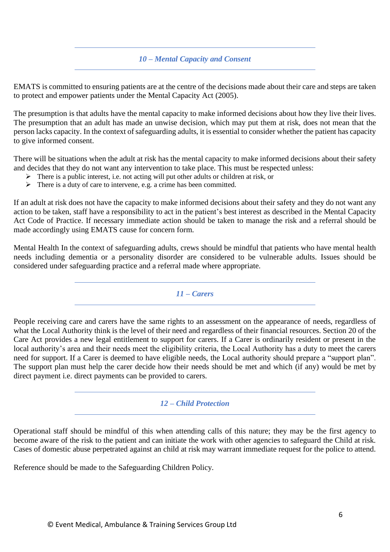### *10 – Mental Capacity and Consent*

EMATS is committed to ensuring patients are at the centre of the decisions made about their care and steps are taken to protect and empower patients under the Mental Capacity Act (2005).

The presumption is that adults have the mental capacity to make informed decisions about how they live their lives. The presumption that an adult has made an unwise decision, which may put them at risk, does not mean that the person lacks capacity. In the context of safeguarding adults, it is essential to consider whether the patient has capacity to give informed consent.

There will be situations when the adult at risk has the mental capacity to make informed decisions about their safety and decides that they do not want any intervention to take place. This must be respected unless:

- $\triangleright$  There is a public interest, i.e. not acting will put other adults or children at risk, or
- $\triangleright$  There is a duty of care to intervene, e.g. a crime has been committed.

If an adult at risk does not have the capacity to make informed decisions about their safety and they do not want any action to be taken, staff have a responsibility to act in the patient's best interest as described in the Mental Capacity Act Code of Practice. If necessary immediate action should be taken to manage the risk and a referral should be made accordingly using EMATS cause for concern form.

Mental Health In the context of safeguarding adults, crews should be mindful that patients who have mental health needs including dementia or a personality disorder are considered to be vulnerable adults. Issues should be considered under safeguarding practice and a referral made where appropriate.

*11 – Carers*

People receiving care and carers have the same rights to an assessment on the appearance of needs, regardless of what the Local Authority think is the level of their need and regardless of their financial resources. Section 20 of the Care Act provides a new legal entitlement to support for carers. If a Carer is ordinarily resident or present in the local authority's area and their needs meet the eligibility criteria, the Local Authority has a duty to meet the carers need for support. If a Carer is deemed to have eligible needs, the Local authority should prepare a "support plan". The support plan must help the carer decide how their needs should be met and which (if any) would be met by direct payment i.e. direct payments can be provided to carers.

### *12 – Child Protection*

Operational staff should be mindful of this when attending calls of this nature; they may be the first agency to become aware of the risk to the patient and can initiate the work with other agencies to safeguard the Child at risk. Cases of domestic abuse perpetrated against an child at risk may warrant immediate request for the police to attend.

Reference should be made to the Safeguarding Children Policy.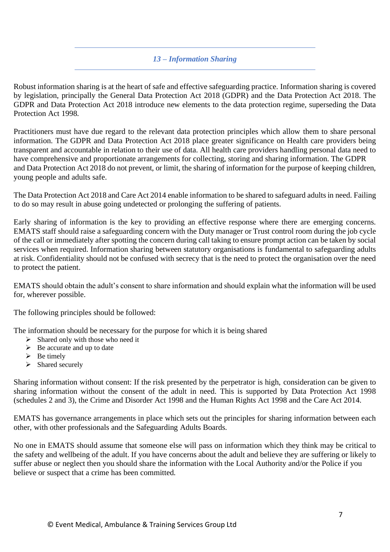# *13 – Information Sharing*

Robust information sharing is at the heart of safe and effective safeguarding practice. Information sharing is covered by legislation, principally the General Data Protection Act 2018 (GDPR) and the Data Protection Act 2018. The GDPR and Data Protection Act 2018 introduce new elements to the data protection regime, superseding the Data Protection Act 1998.

Practitioners must have due regard to the relevant data protection principles which allow them to share personal information. The GDPR and Data Protection Act 2018 place greater significance on Health care providers being transparent and accountable in relation to their use of data. All health care providers handling personal data need to have comprehensive and proportionate arrangements for collecting, storing and sharing information. The GDPR and Data Protection Act 2018 do not prevent, or limit, the sharing of information for the purpose of keeping children, young people and adults safe.

The Data Protection Act 2018 and Care Act 2014 enable information to be shared to safeguard adults in need. Failing to do so may result in abuse going undetected or prolonging the suffering of patients.

Early sharing of information is the key to providing an effective response where there are emerging concerns. EMATS staff should raise a safeguarding concern with the Duty manager or Trust control room during the job cycle of the call or immediately after spotting the concern during call taking to ensure prompt action can be taken by social services when required. Information sharing between statutory organisations is fundamental to safeguarding adults at risk. Confidentiality should not be confused with secrecy that is the need to protect the organisation over the need to protect the patient.

EMATS should obtain the adult's consent to share information and should explain what the information will be used for, wherever possible.

The following principles should be followed:

The information should be necessary for the purpose for which it is being shared

- $\triangleright$  Shared only with those who need it
- $\triangleright$  Be accurate and up to date
- $\triangleright$  Be timely
- ➢ Shared securely

Sharing information without consent: If the risk presented by the perpetrator is high, consideration can be given to sharing information without the consent of the adult in need. This is supported by Data Protection Act 1998 (schedules 2 and 3), the Crime and Disorder Act 1998 and the Human Rights Act 1998 and the Care Act 2014.

EMATS has governance arrangements in place which sets out the principles for sharing information between each other, with other professionals and the Safeguarding Adults Boards.

No one in EMATS should assume that someone else will pass on information which they think may be critical to the safety and wellbeing of the adult. If you have concerns about the adult and believe they are suffering or likely to suffer abuse or neglect then you should share the information with the Local Authority and/or the Police if you believe or suspect that a crime has been committed.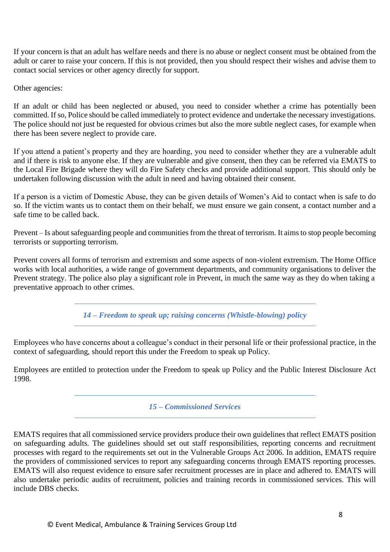If your concern is that an adult has welfare needs and there is no abuse or neglect consent must be obtained from the adult or carer to raise your concern. If this is not provided, then you should respect their wishes and advise them to contact social services or other agency directly for support.

Other agencies:

If an adult or child has been neglected or abused, you need to consider whether a crime has potentially been committed. If so, Police should be called immediately to protect evidence and undertake the necessary investigations. The police should not just be requested for obvious crimes but also the more subtle neglect cases, for example when there has been severe neglect to provide care.

If you attend a patient's property and they are hoarding, you need to consider whether they are a vulnerable adult and if there is risk to anyone else. If they are vulnerable and give consent, then they can be referred via EMATS to the Local Fire Brigade where they will do Fire Safety checks and provide additional support. This should only be undertaken following discussion with the adult in need and having obtained their consent.

If a person is a victim of Domestic Abuse, they can be given details of Women's Aid to contact when is safe to do so. If the victim wants us to contact them on their behalf, we must ensure we gain consent, a contact number and a safe time to be called back.

Prevent – Is about safeguarding people and communities from the threat of terrorism. It aims to stop people becoming terrorists or supporting terrorism.

Prevent covers all forms of terrorism and extremism and some aspects of non-violent extremism. The Home Office works with local authorities, a wide range of government departments, and community organisations to deliver the Prevent strategy. The police also play a significant role in Prevent, in much the same way as they do when taking a preventative approach to other crimes.

*14 – Freedom to speak up; raising concerns (Whistle-blowing) policy*

Employees who have concerns about a colleague's conduct in their personal life or their professional practice, in the context of safeguarding, should report this under the Freedom to speak up Policy.

Employees are entitled to protection under the Freedom to speak up Policy and the Public Interest Disclosure Act 1998.

*15 – Commissioned Services*

EMATS requires that all commissioned service providers produce their own guidelines that reflect EMATS position on safeguarding adults. The guidelines should set out staff responsibilities, reporting concerns and recruitment processes with regard to the requirements set out in the Vulnerable Groups Act 2006. In addition, EMATS require the providers of commissioned services to report any safeguarding concerns through EMATS reporting processes. EMATS will also request evidence to ensure safer recruitment processes are in place and adhered to. EMATS will also undertake periodic audits of recruitment, policies and training records in commissioned services. This will include DBS checks.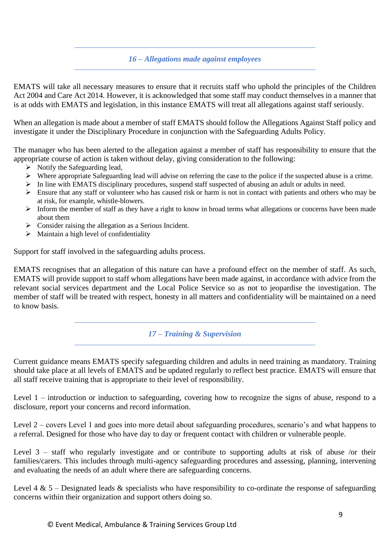### *16 – Allegations made against employees*

EMATS will take all necessary measures to ensure that it recruits staff who uphold the principles of the Children Act 2004 and Care Act 2014. However, it is acknowledged that some staff may conduct themselves in a manner that is at odds with EMATS and legislation, in this instance EMATS will treat all allegations against staff seriously.

When an allegation is made about a member of staff EMATS should follow the Allegations Against Staff policy and investigate it under the Disciplinary Procedure in conjunction with the Safeguarding Adults Policy.

The manager who has been alerted to the allegation against a member of staff has responsibility to ensure that the appropriate course of action is taken without delay, giving consideration to the following:

- $\triangleright$  Notify the Safeguarding lead,
- $\triangleright$  Where appropriate Safeguarding lead will advise on referring the case to the police if the suspected abuse is a crime.
- ➢ In line with EMATS disciplinary procedures, suspend staff suspected of abusing an adult or adults in need.
- $\triangleright$  Ensure that any staff or volunteer who has caused risk or harm is not in contact with patients and others who may be at risk, for example, whistle-blowers.
- ➢ Inform the member of staff as they have a right to know in broad terms what allegations or concerns have been made about them
- ➢ Consider raising the allegation as a Serious Incident.
- $\triangleright$  Maintain a high level of confidentiality

Support for staff involved in the safeguarding adults process.

EMATS recognises that an allegation of this nature can have a profound effect on the member of staff. As such, EMATS will provide support to staff whom allegations have been made against, in accordance with advice from the relevant social services department and the Local Police Service so as not to jeopardise the investigation. The member of staff will be treated with respect, honesty in all matters and confidentiality will be maintained on a need to know basis.

### *17 – Training & Supervision*

Current guidance means EMATS specify safeguarding children and adults in need training as mandatory. Training should take place at all levels of EMATS and be updated regularly to reflect best practice. EMATS will ensure that all staff receive training that is appropriate to their level of responsibility.

Level 1 – introduction or induction to safeguarding, covering how to recognize the signs of abuse, respond to a disclosure, report your concerns and record information.

Level 2 – covers Level 1 and goes into more detail about safeguarding procedures, scenario's and what happens to a referral. Designed for those who have day to day or frequent contact with children or vulnerable people.

Level 3 – staff who regularly investigate and or contribute to supporting adults at risk of abuse /or their families/carers. This includes through multi-agency safeguarding procedures and assessing, planning, intervening and evaluating the needs of an adult where there are safeguarding concerns.

Level 4 & 5 – Designated leads & specialists who have responsibility to co-ordinate the response of safeguarding concerns within their organization and support others doing so.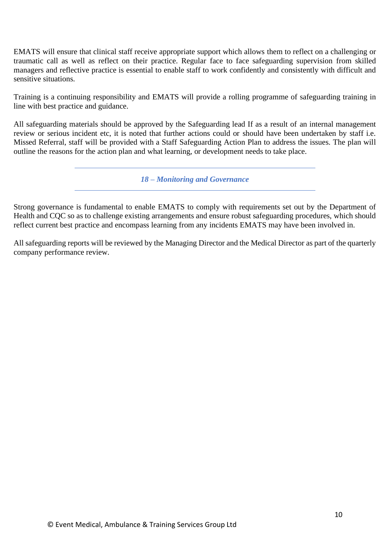EMATS will ensure that clinical staff receive appropriate support which allows them to reflect on a challenging or traumatic call as well as reflect on their practice. Regular face to face safeguarding supervision from skilled managers and reflective practice is essential to enable staff to work confidently and consistently with difficult and sensitive situations.

Training is a continuing responsibility and EMATS will provide a rolling programme of safeguarding training in line with best practice and guidance.

All safeguarding materials should be approved by the Safeguarding lead If as a result of an internal management review or serious incident etc, it is noted that further actions could or should have been undertaken by staff i.e. Missed Referral, staff will be provided with a Staff Safeguarding Action Plan to address the issues. The plan will outline the reasons for the action plan and what learning, or development needs to take place.

*18 – Monitoring and Governance*

Strong governance is fundamental to enable EMATS to comply with requirements set out by the Department of Health and CQC so as to challenge existing arrangements and ensure robust safeguarding procedures, which should reflect current best practice and encompass learning from any incidents EMATS may have been involved in.

All safeguarding reports will be reviewed by the Managing Director and the Medical Director as part of the quarterly company performance review.